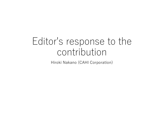# Editor's response to the contribution

Hiroki Nakano (CAHI Corporation)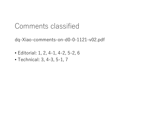#### Comments classified

dq-Xiao-comments-on-d0-0-1121-v02.pdf

- Editorial: 1, 2, 4-1, 4-2, 5-2, 6
- Technical: 3, 4-3, 5-1, 7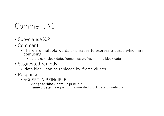- Sub-clause X.2
- Comment
	- There are multiple words or phrases to express a burst, which are confusing.
		- data block, block data, frame cluster, fragmented block data
- Suggested remedy
	- ʻdata block' can be replaced by ʻframe cluster'
- Response
	- ACCEPT IN PRINCIPLE
		- Change to ʻ**block data**' in principle. ʻ**frame cluster**' is equal to ʻfragmented block data on network'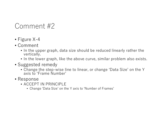- Figure X-4
- Comment
	- In the upper graph, data size should be reduced linearly rather the vertically.
	- In the lower graph, like the above curve, similar problem also exists.
- Suggested remedy
	- Change the step-wise line to linear, or change ʻData Size' on the Y axis to ʻFrame Number'
- Response
	- ACCEPT IN PRINCIPI F
		- Change ʻData Size' on the Y axis to ʻNumber of Frames'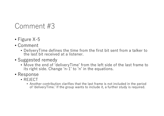- Figure X-5
- Comment
	- DeliveryTime defines the time from the first bit sent from a talker to the last bit received at a listener.
- Suggested remedy
	- Move the end of ʻdeliveryTime' from the left side of the last frame to its right side. Change ʻn-1' to 'n' in the equations.
- Response
	- REJECT
		- Another contribution clarifies that the last frame is not included in the period of ʻdeliveryTime.' If the group wants to include it, a further study is required.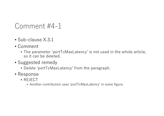## Comment #4-1

- Sub-clause X.3.1
- Comment
	- The parameter ʻportTcMaxLatency' is not used in the whole article, so it can be deleted.
- Suggested remedy
	- Delete ʻportTcMaxLatency' from the paragraph.
- Response
	- REJECT
		- Another contribution uses ʻportTcMaxLatency' in some figure.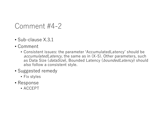### Comment #4-2

- Sub-clause X.3.1
- Comment
	- Consistent issues: the parameter ʻAccumulatedLatency' should be accumulatedLatency, the same as in  $(X-5)$ . Other parameters, such as Data Size (dataSize), Bounded Latency (boundedLatency) should also follow a consistent style.
- Suggested remedy
	- Fix styles
- Response
	- ACCEPT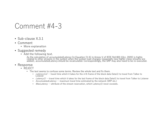#### Comment #4-3

- Sub-clause X.3.1
- Comment
	- More explanation
- Suggested remedy
	- Add the following text.

As the calculation of *accumulatedLatency* (in Equation (V-6) in Annex V of IEEE Std 802.1Qcr, 2020) is highly<br>related to other streams in the system when the system load changes (especially new higher-class streams are<br>ad

- Response
	- REJECT
		- The text seems to confuse some terms. Review the whole text and fix them.
			- Latency(i,k)  $\cdots$  travel time which it takes for the k-th frame of the block data Data(i) to travel from Talker to Listener
			- Latency(i) … travel time which it takes for the last frame of the block data Data(i) to travel from Talker to Listener
			- AccumulatedLatency  $\cdots$  maximum travel time estimated by the network (SRP etc.)
			- MaxLatency  $\cdots$  attribute of the stream reservation, which Latency(i) never exceeds.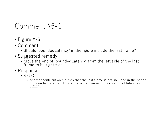## Comment #5-1

- Figure X-6
- Comment
	- Should ʻboundedLatency' in the figure include the last frame?
- Suggested remedy
	- Move the end of ʻboundedLatency' from the left side of the last frame to its right side.
- Response
	- REJECT
		- Another contribution clarifies that the last frame is not included in the period of ʻboundedLatency.' This is the same manner of calculation of latencies in 802.1Q.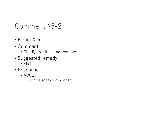## Comment #5-2

- Figure X-6
- Comment
	- The figure title is not complete.
- Suggested remedy
	- Fix it.
- Response
	- ACCEPT
		- The figure title may change.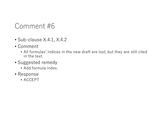- Sub-clause X.4.1, X.4.2
- Comment
	- All formulas' indices in the new draft are lost, but they are still cited in the text.
- Suggested remedy
	- Add formula index.
- Response
	- ACCEPT